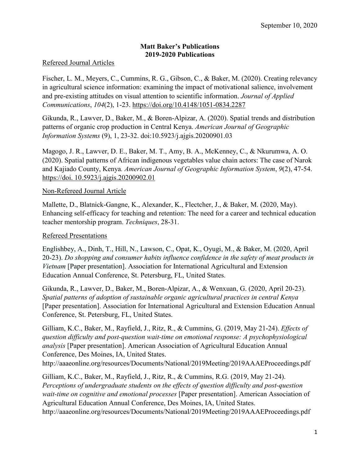## **Matt Baker's Publications 2019-2020 Publications**

## Refereed Journal Articles

Fischer, L. M., Meyers, C., Cummins, R. G., Gibson, C., & Baker, M. (2020). Creating relevancy in agricultural science information: examining the impact of motivational salience, involvement and pre-existing attitudes on visual attention to scientific information. *Journal of Applied Communications*, *104*(2), 1-23. https://doi.org/10.4148/1051-0834.2287

Gikunda, R., Lawver, D., Baker, M., & Boren-Alpizar, A. (2020). Spatial trends and distribution patterns of organic crop production in Central Kenya. *American Journal of Geographic Information Systems* (9), 1, 23-32. doi:10.5923/j.ajgis.20200901.03

Magogo, J. R., Lawver, D. E., Baker, M. T., Amy, B. A., McKenney, C., & Nkurumwa, A. O. (2020). Spatial patterns of African indigenous vegetables value chain actors: The case of Narok and Kajiado County, Kenya*. American Journal of Geographic Information System*, *9*(2), 47-54. https://doi. 10.5923/j.ajgis.20200902.01

## Non-Refereed Journal Article

Mallette, D., Blatnick-Gangne, K., Alexander, K., Flectcher, J., & Baker, M. (2020, May). Enhancing self-efficacy for teaching and retention: The need for a career and technical education teacher mentorship program. *Techniques*, 28-31.

## Refereed Presentations

Englishbey, A., Dinh, T., Hill, N., Lawson, C., Opat, K., Oyugi, M., & Baker, M. (2020, April 20-23). *Do shopping and consumer habits influence confidence in the safety of meat products in Vietnam* [Paper presentation]. Association for International Agricultural and Extension Education Annual Conference, St. Petersburg, FL, United States.

Gikunda, R., Lawver, D., Baker, M., Boren-Alpizar, A., & Wenxuan, G. (2020, April 20-23). *Spatial patterns of adoption of sustainable organic agricultural practices in central Kenya* [Paper presentation]. Association for International Agricultural and Extension Education Annual Conference, St. Petersburg, FL, United States.

Gilliam, K.C., Baker, M., Rayfield, J., Ritz, R., & Cummins, G. (2019, May 21-24). *Effects of question difficulty and post-question wait-time on emotional response: A psychophysiological analysis* [Paper presentation]. American Association of Agricultural Education Annual Conference, Des Moines, IA, United States. http://aaaeonline.org/resources/Documents/National/2019Meeting/2019AAAEProceedings.pdf

Gilliam, K.C., Baker, M., Rayfield, J., Ritz, R., & Cummins, R.G. (2019, May 21-24). *Perceptions of undergraduate students on the effects of question difficulty and post-question wait-time on cognitive and emotional processes* [Paper presentation]. American Association of Agricultural Education Annual Conference, Des Moines, IA, United States. http://aaaeonline.org/resources/Documents/National/2019Meeting/2019AAAEProceedings.pdf